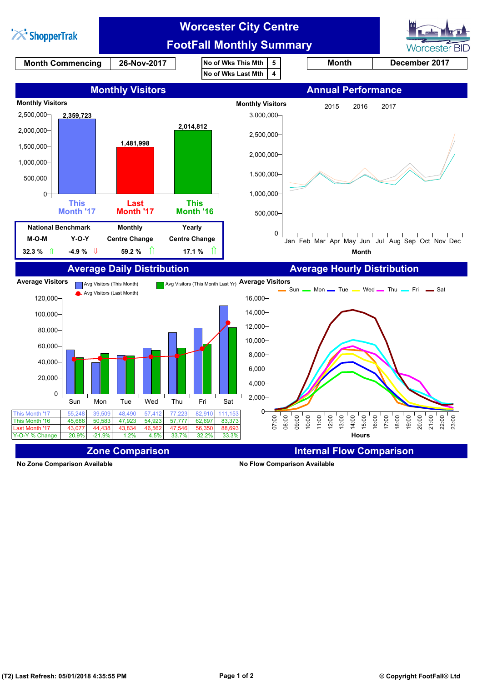

**No Zone Comparison Available No Flow Comparison Available**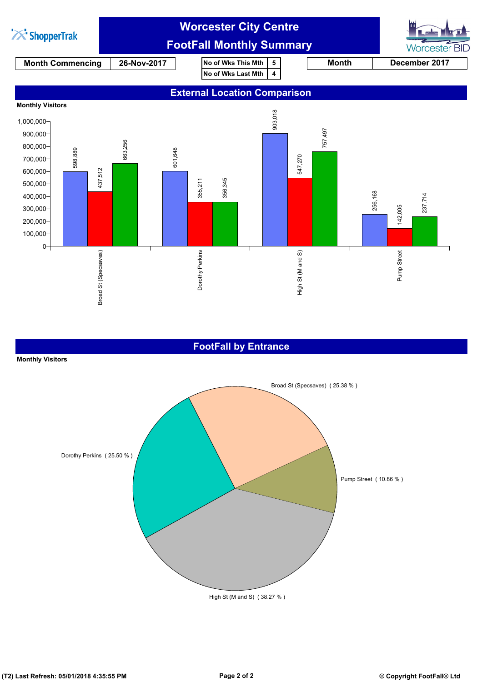

## **FootFall by Entrance**